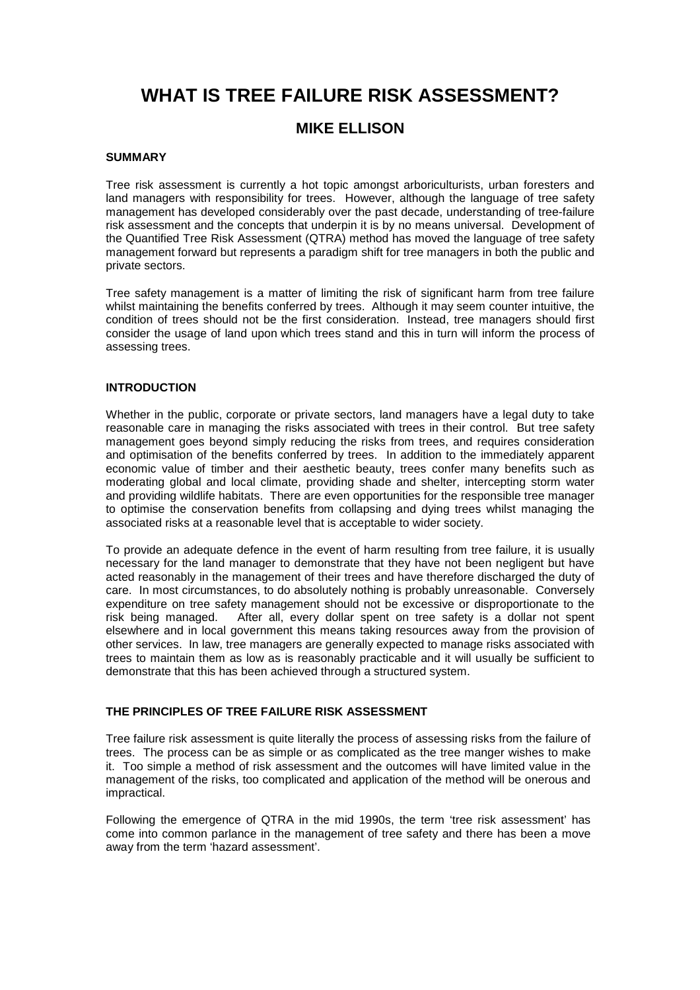# **WHAT IS TREE FAILURE RISK ASSESSMENT?**

## **MIKE ELLISON**

### **SUMMARY**

Tree risk assessment is currently a hot topic amongst arboriculturists, urban foresters and land managers with responsibility for trees. However, although the language of tree safety management has developed considerably over the past decade, understanding of tree-failure risk assessment and the concepts that underpin it is by no means universal. Development of the Quantified Tree Risk Assessment (QTRA) method has moved the language of tree safety management forward but represents a paradigm shift for tree managers in both the public and private sectors.

Tree safety management is a matter of limiting the risk of significant harm from tree failure whilst maintaining the benefits conferred by trees. Although it may seem counter intuitive, the condition of trees should not be the first consideration. Instead, tree managers should first consider the usage of land upon which trees stand and this in turn will inform the process of assessing trees.

### **INTRODUCTION**

Whether in the public, corporate or private sectors, land managers have a legal duty to take reasonable care in managing the risks associated with trees in their control. But tree safety management goes beyond simply reducing the risks from trees, and requires consideration and optimisation of the benefits conferred by trees. In addition to the immediately apparent economic value of timber and their aesthetic beauty, trees confer many benefits such as moderating global and local climate, providing shade and shelter, intercepting storm water and providing wildlife habitats. There are even opportunities for the responsible tree manager to optimise the conservation benefits from collapsing and dying trees whilst managing the associated risks at a reasonable level that is acceptable to wider society.

To provide an adequate defence in the event of harm resulting from tree failure, it is usually necessary for the land manager to demonstrate that they have not been negligent but have acted reasonably in the management of their trees and have therefore discharged the duty of care. In most circumstances, to do absolutely nothing is probably unreasonable. Conversely expenditure on tree safety management should not be excessive or disproportionate to the risk being managed. After all, every dollar spent on tree safety is a dollar not spent elsewhere and in local government this means taking resources away from the provision of other services. In law, tree managers are generally expected to manage risks associated with trees to maintain them as low as is reasonably practicable and it will usually be sufficient to demonstrate that this has been achieved through a structured system.

### **THE PRINCIPLES OF TREE FAILURE RISK ASSESSMENT**

Tree failure risk assessment is quite literally the process of assessing risks from the failure of trees. The process can be as simple or as complicated as the tree manger wishes to make it. Too simple a method of risk assessment and the outcomes will have limited value in the management of the risks, too complicated and application of the method will be onerous and impractical.

Following the emergence of QTRA in the mid 1990s, the term 'tree risk assessment' has come into common parlance in the management of tree safety and there has been a move away from the term 'hazard assessment'.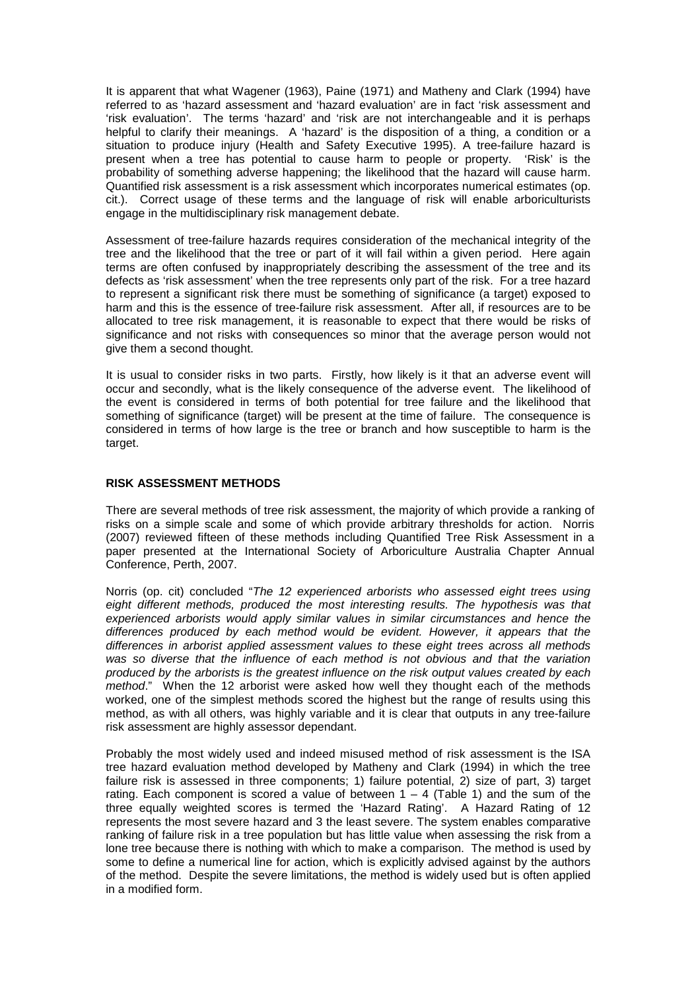It is apparent that what Wagener (1963), Paine (1971) and Matheny and Clark (1994) have referred to as 'hazard assessment and 'hazard evaluation' are in fact 'risk assessment and 'risk evaluation'. The terms 'hazard' and 'risk are not interchangeable and it is perhaps helpful to clarify their meanings. A 'hazard' is the disposition of a thing, a condition or a situation to produce injury (Health and Safety Executive 1995). A tree-failure hazard is present when a tree has potential to cause harm to people or property. 'Risk' is the probability of something adverse happening; the likelihood that the hazard will cause harm. Quantified risk assessment is a risk assessment which incorporates numerical estimates (op. cit.). Correct usage of these terms and the language of risk will enable arboriculturists engage in the multidisciplinary risk management debate.

Assessment of tree-failure hazards requires consideration of the mechanical integrity of the tree and the likelihood that the tree or part of it will fail within a given period. Here again terms are often confused by inappropriately describing the assessment of the tree and its defects as 'risk assessment' when the tree represents only part of the risk. For a tree hazard to represent a significant risk there must be something of significance (a target) exposed to harm and this is the essence of tree-failure risk assessment. After all, if resources are to be allocated to tree risk management, it is reasonable to expect that there would be risks of significance and not risks with consequences so minor that the average person would not give them a second thought.

It is usual to consider risks in two parts. Firstly, how likely is it that an adverse event will occur and secondly, what is the likely consequence of the adverse event. The likelihood of the event is considered in terms of both potential for tree failure and the likelihood that something of significance (target) will be present at the time of failure. The consequence is considered in terms of how large is the tree or branch and how susceptible to harm is the target.

### **RISK ASSESSMENT METHODS**

There are several methods of tree risk assessment, the majority of which provide a ranking of risks on a simple scale and some of which provide arbitrary thresholds for action. Norris (2007) reviewed fifteen of these methods including Quantified Tree Risk Assessment in a paper presented at the International Society of Arboriculture Australia Chapter Annual Conference, Perth, 2007.

Norris (op. cit) concluded "The 12 experienced arborists who assessed eight trees using eight different methods, produced the most interesting results. The hypothesis was that experienced arborists would apply similar values in similar circumstances and hence the differences produced by each method would be evident. However, it appears that the differences in arborist applied assessment values to these eight trees across all methods was so diverse that the influence of each method is not obvious and that the variation produced by the arborists is the greatest influence on the risk output values created by each method." When the 12 arborist were asked how well they thought each of the methods worked, one of the simplest methods scored the highest but the range of results using this method, as with all others, was highly variable and it is clear that outputs in any tree-failure risk assessment are highly assessor dependant.

Probably the most widely used and indeed misused method of risk assessment is the ISA tree hazard evaluation method developed by Matheny and Clark (1994) in which the tree failure risk is assessed in three components; 1) failure potential, 2) size of part, 3) target rating. Each component is scored a value of between  $1 - 4$  (Table 1) and the sum of the three equally weighted scores is termed the 'Hazard Rating'. A Hazard Rating of 12 represents the most severe hazard and 3 the least severe. The system enables comparative ranking of failure risk in a tree population but has little value when assessing the risk from a lone tree because there is nothing with which to make a comparison. The method is used by some to define a numerical line for action, which is explicitly advised against by the authors of the method. Despite the severe limitations, the method is widely used but is often applied in a modified form.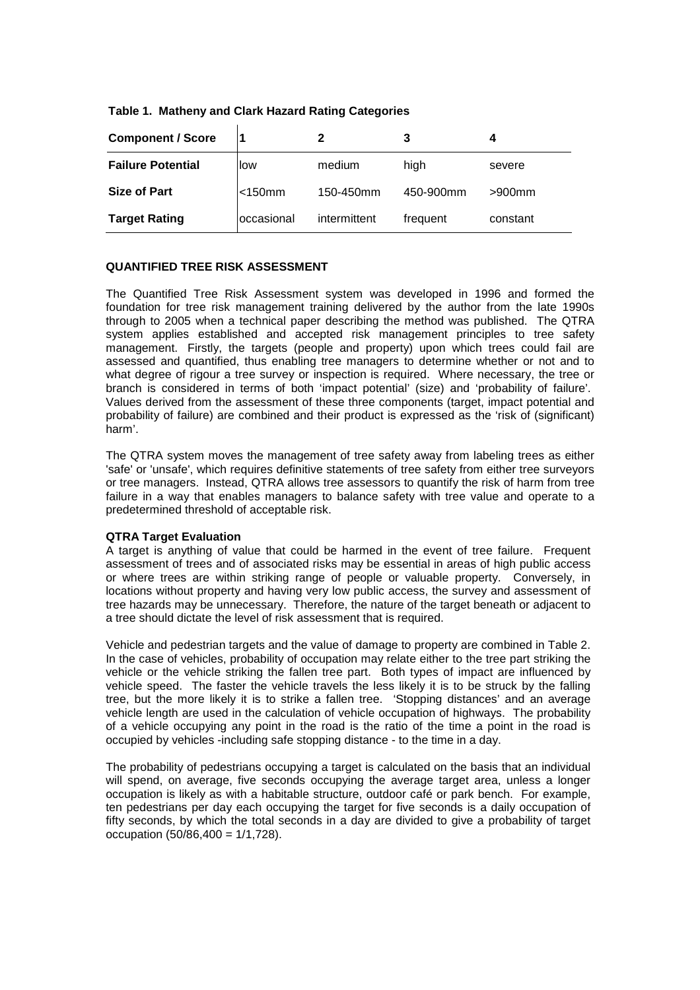|  |  |  |  |  | Table 1. Matheny and Clark Hazard Rating Categories |
|--|--|--|--|--|-----------------------------------------------------|
|--|--|--|--|--|-----------------------------------------------------|

| <b>Component / Score</b> |              |              | 3         |           |
|--------------------------|--------------|--------------|-----------|-----------|
| <b>Failure Potential</b> | llow         | medium       | high      | severe    |
| Size of Part             | $<$ 150 $mm$ | 150-450mm    | 450-900mm | $>900$ mm |
| <b>Target Rating</b>     | loccasional  | intermittent | frequent  | constant  |

### **QUANTIFIED TREE RISK ASSESSMENT**

The Quantified Tree Risk Assessment system was developed in 1996 and formed the foundation for tree risk management training delivered by the author from the late 1990s through to 2005 when a technical paper describing the method was published. The QTRA system applies established and accepted risk management principles to tree safety management. Firstly, the targets (people and property) upon which trees could fail are assessed and quantified, thus enabling tree managers to determine whether or not and to what degree of rigour a tree survey or inspection is required. Where necessary, the tree or branch is considered in terms of both 'impact potential' (size) and 'probability of failure'. Values derived from the assessment of these three components (target, impact potential and probability of failure) are combined and their product is expressed as the 'risk of (significant) harm'.

The QTRA system moves the management of tree safety away from labeling trees as either 'safe' or 'unsafe', which requires definitive statements of tree safety from either tree surveyors or tree managers. Instead, QTRA allows tree assessors to quantify the risk of harm from tree failure in a way that enables managers to balance safety with tree value and operate to a predetermined threshold of acceptable risk.

### **QTRA Target Evaluation**

A target is anything of value that could be harmed in the event of tree failure. Frequent assessment of trees and of associated risks may be essential in areas of high public access or where trees are within striking range of people or valuable property. Conversely, in locations without property and having very low public access, the survey and assessment of tree hazards may be unnecessary. Therefore, the nature of the target beneath or adjacent to a tree should dictate the level of risk assessment that is required.

Vehicle and pedestrian targets and the value of damage to property are combined in Table 2. In the case of vehicles, probability of occupation may relate either to the tree part striking the vehicle or the vehicle striking the fallen tree part. Both types of impact are influenced by vehicle speed. The faster the vehicle travels the less likely it is to be struck by the falling tree, but the more likely it is to strike a fallen tree. 'Stopping distances' and an average vehicle length are used in the calculation of vehicle occupation of highways. The probability of a vehicle occupying any point in the road is the ratio of the time a point in the road is occupied by vehicles -including safe stopping distance - to the time in a day.

The probability of pedestrians occupying a target is calculated on the basis that an individual will spend, on average, five seconds occupying the average target area, unless a longer occupation is likely as with a habitable structure, outdoor café or park bench. For example, ten pedestrians per day each occupying the target for five seconds is a daily occupation of fifty seconds, by which the total seconds in a day are divided to give a probability of target occupation (50/86,400 = 1/1,728).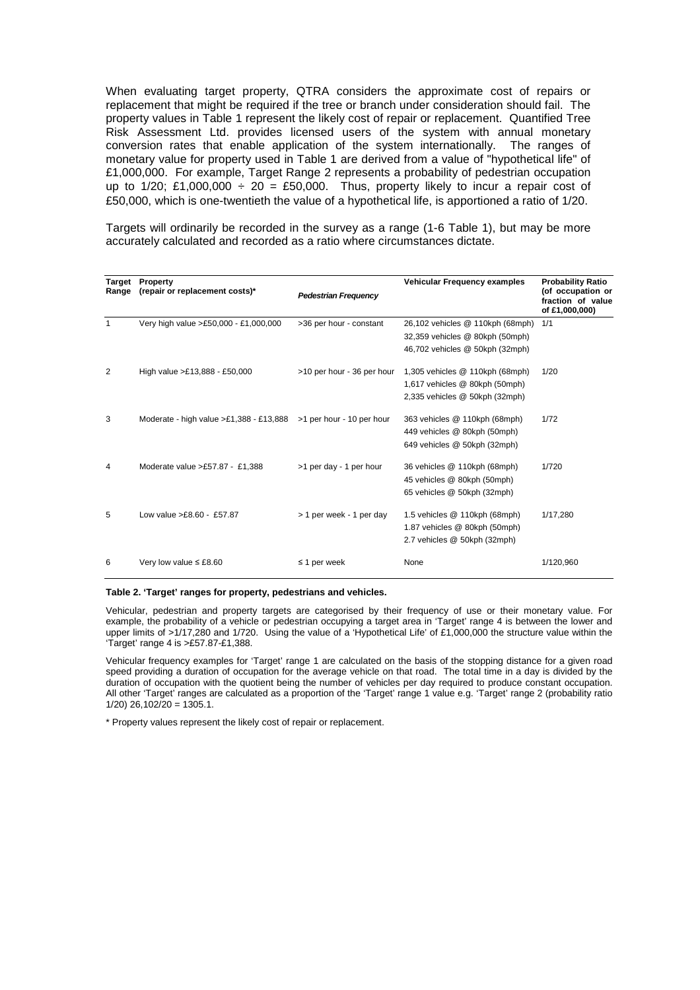When evaluating target property, QTRA considers the approximate cost of repairs or replacement that might be required if the tree or branch under consideration should fail. The property values in Table 1 represent the likely cost of repair or replacement. Quantified Tree Risk Assessment Ltd. provides licensed users of the system with annual monetary conversion rates that enable application of the system internationally. The ranges of monetary value for property used in Table 1 are derived from a value of "hypothetical life" of £1,000,000. For example, Target Range 2 represents a probability of pedestrian occupation up to 1/20; £1,000,000 ÷ 20 = £50,000. Thus, property likely to incur a repair cost of £50,000, which is one-twentieth the value of a hypothetical life, is apportioned a ratio of 1/20.

Targets will ordinarily be recorded in the survey as a range (1-6 Table 1), but may be more accurately calculated and recorded as a ratio where circumstances dictate.

| <b>Target</b><br>Range | Property<br>(repair or replacement costs)*                           | <b>Pedestrian Frequency</b> | Vehicular Frequency examples     | <b>Probability Ratio</b><br>(of occupation or<br>fraction of value<br>of £1,000,000) |
|------------------------|----------------------------------------------------------------------|-----------------------------|----------------------------------|--------------------------------------------------------------------------------------|
| 1                      | Very high value >£50,000 - £1,000,000                                | >36 per hour - constant     | 26,102 vehicles @ 110kph (68mph) | 1/1                                                                                  |
|                        |                                                                      |                             | 32,359 vehicles @ 80kph (50mph)  |                                                                                      |
|                        |                                                                      |                             | 46,702 vehicles @ 50kph (32mph)  |                                                                                      |
| 2                      | High value >£13,888 - £50,000                                        | >10 per hour - 36 per hour  | 1,305 vehicles @ 110kph (68mph)  | 1/20                                                                                 |
|                        |                                                                      |                             | 1,617 vehicles @ 80kph (50mph)   |                                                                                      |
|                        |                                                                      |                             | 2,335 vehicles @ 50kph (32mph)   |                                                                                      |
| 3                      | Moderate - high value $>E1,388 - E13,888$ > 1 per hour - 10 per hour |                             | 363 vehicles @ 110kph (68mph)    | 1/72                                                                                 |
|                        |                                                                      |                             | 449 vehicles @ 80kph (50mph)     |                                                                                      |
|                        |                                                                      |                             | 649 vehicles @ 50kph (32mph)     |                                                                                      |
| 4                      | Moderate value >£57.87 - £1,388                                      | >1 per day - 1 per hour     | 36 vehicles @ 110kph (68mph)     | 1/720                                                                                |
|                        |                                                                      |                             | 45 vehicles @ 80kph (50mph)      |                                                                                      |
|                        |                                                                      |                             | 65 vehicles @ 50kph (32mph)      |                                                                                      |
| 5                      | Low value $>£8.60 - £57.87$                                          | > 1 per week - 1 per day    | 1.5 vehicles @ 110kph (68mph)    | 1/17,280                                                                             |
|                        |                                                                      |                             | 1.87 vehicles @ 80kph (50mph)    |                                                                                      |
|                        |                                                                      |                             | 2.7 vehicles @ 50kph (32mph)     |                                                                                      |
| 6                      | Very low value $\leq$ £8.60                                          | $\leq$ 1 per week           | None                             | 1/120.960                                                                            |

#### **Table 2. 'Target' ranges for property, pedestrians and vehicles.**

Vehicular, pedestrian and property targets are categorised by their frequency of use or their monetary value. For example, the probability of a vehicle or pedestrian occupying a target area in 'Target' range 4 is between the lower and upper limits of >1/17,280 and 1/720. Using the value of a 'Hypothetical Life' of £1,000,000 the structure value within the 'Target' range 4 is >£57.87-£1,388.

Vehicular frequency examples for 'Target' range 1 are calculated on the basis of the stopping distance for a given road speed providing a duration of occupation for the average vehicle on that road. The total time in a day is divided by the duration of occupation with the quotient being the number of vehicles per day required to produce constant occupation. All other 'Target' ranges are calculated as a proportion of the 'Target' range 1 value e.g. 'Target' range 2 (probability ratio  $1/20$ )  $26.102/20 = 1305.1$ .

\* Property values represent the likely cost of repair or replacement.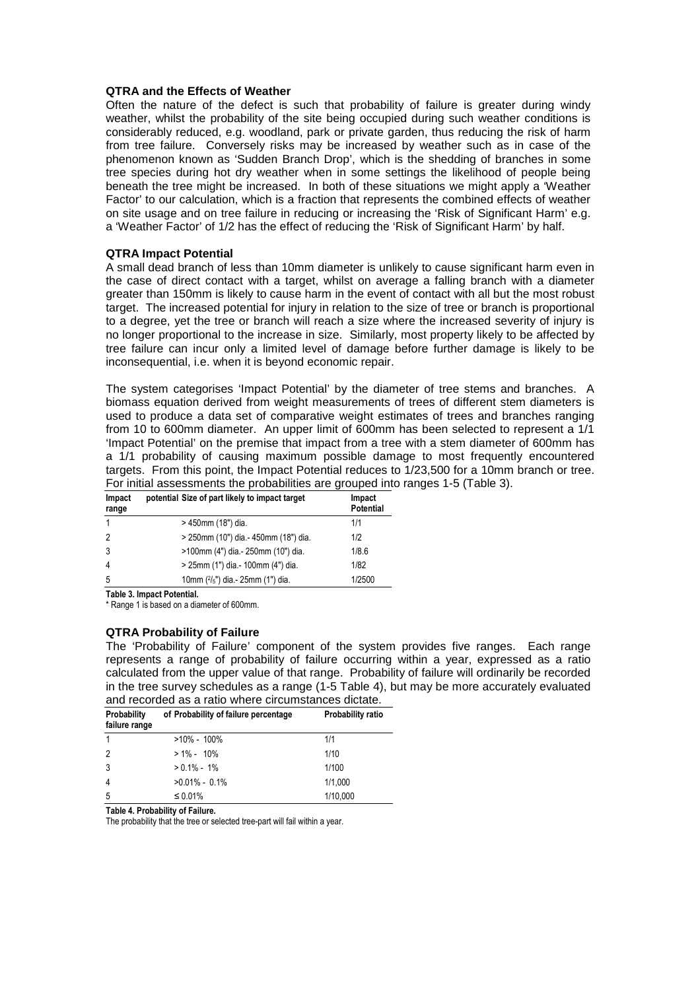### **QTRA and the Effects of Weather**

Often the nature of the defect is such that probability of failure is greater during windy weather, whilst the probability of the site being occupied during such weather conditions is considerably reduced, e.g. woodland, park or private garden, thus reducing the risk of harm from tree failure. Conversely risks may be increased by weather such as in case of the phenomenon known as 'Sudden Branch Drop', which is the shedding of branches in some tree species during hot dry weather when in some settings the likelihood of people being beneath the tree might be increased. In both of these situations we might apply a 'Weather Factor' to our calculation, which is a fraction that represents the combined effects of weather on site usage and on tree failure in reducing or increasing the 'Risk of Significant Harm' e.g. a 'Weather Factor' of 1/2 has the effect of reducing the 'Risk of Significant Harm' by half.

### **QTRA Impact Potential**

A small dead branch of less than 10mm diameter is unlikely to cause significant harm even in the case of direct contact with a target, whilst on average a falling branch with a diameter greater than 150mm is likely to cause harm in the event of contact with all but the most robust target. The increased potential for injury in relation to the size of tree or branch is proportional to a degree, yet the tree or branch will reach a size where the increased severity of injury is no longer proportional to the increase in size. Similarly, most property likely to be affected by tree failure can incur only a limited level of damage before further damage is likely to be inconsequential, i.e. when it is beyond economic repair.

The system categorises 'Impact Potential' by the diameter of tree stems and branches. A biomass equation derived from weight measurements of trees of different stem diameters is used to produce a data set of comparative weight estimates of trees and branches ranging from 10 to 600mm diameter. An upper limit of 600mm has been selected to represent a 1/1 'Impact Potential' on the premise that impact from a tree with a stem diameter of 600mm has a 1/1 probability of causing maximum possible damage to most frequently encountered targets. From this point, the Impact Potential reduces to 1/23,500 for a 10mm branch or tree. For initial assessments the probabilities are grouped into ranges 1-5 (Table 3).

| Impact<br>range | potential Size of part likely to impact target | Impact<br><b>Potential</b> |
|-----------------|------------------------------------------------|----------------------------|
|                 | > 450mm (18") dia.                             | 1/1                        |
| $\overline{2}$  | > 250mm (10") dia - 450mm (18") dia.           | 1/2                        |
| 3               | >100mm (4") dia - 250mm (10") dia.             | 1/8.6                      |
| 4               | > 25mm (1") dia - 100mm (4") dia.              | 1/82                       |
| -5              | 10mm $(^{2}/_{5}$ ") dia - 25mm (1") dia.      | 1/2500                     |

Table 3. Impact Potential.

\* Range 1 is based on a diameter of 600mm.

### **QTRA Probability of Failure**

The 'Probability of Failure' component of the system provides five ranges. Each range represents a range of probability of failure occurring within a year, expressed as a ratio calculated from the upper value of that range. Probability of failure will ordinarily be recorded in the tree survey schedules as a range (1-5 Table 4), but may be more accurately evaluated and recorded as a ratio where circumstances dictate.

| and recorded as a ratio writte circumstances dictate. |                                      |                          |  |  |
|-------------------------------------------------------|--------------------------------------|--------------------------|--|--|
| Probability                                           | of Probability of failure percentage | <b>Probability ratio</b> |  |  |
| failure range                                         |                                      |                          |  |  |
| $\mathbf{1}$                                          | $>10\% - 100\%$                      | 1/1                      |  |  |
| $\overline{2}$                                        | $> 1\% - 10\%$                       | 1/10                     |  |  |
| 3                                                     | $> 0.1\% - 1\%$                      | 1/100                    |  |  |
| $\overline{4}$                                        | $>0.01\% - 0.1\%$                    | 1/1,000                  |  |  |
| 5                                                     | $\leq 0.01\%$                        | 1/10,000                 |  |  |

Table 4. Probability of Failure.

The probability that the tree or selected tree-part will fail within a year.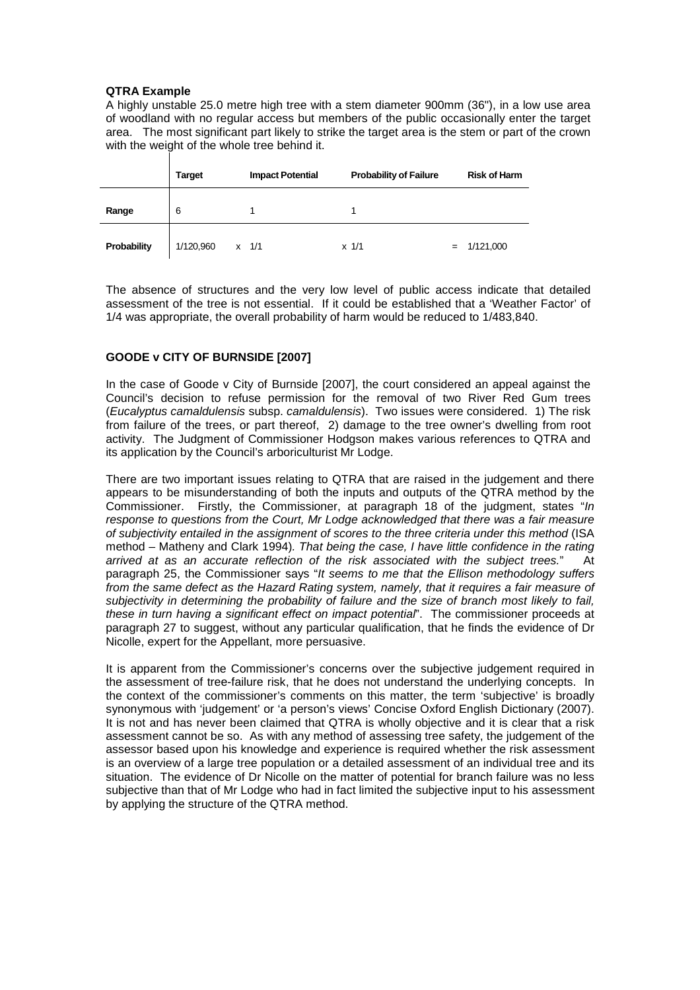### **QTRA Example**

A highly unstable 25.0 metre high tree with a stem diameter 900mm (36"), in a low use area of woodland with no regular access but members of the public occasionally enter the target area. The most significant part likely to strike the target area is the stem or part of the crown with the weight of the whole tree behind it.

|             | <b>Target</b> | <b>Impact Potential</b> | <b>Probability of Failure</b> | <b>Risk of Harm</b> |
|-------------|---------------|-------------------------|-------------------------------|---------------------|
| Range       | 6             |                         |                               |                     |
| Probability | 1/120,960     | $x = 1/1$               | $x \frac{1}{1}$               | $= 1/121,000$       |

The absence of structures and the very low level of public access indicate that detailed assessment of the tree is not essential. If it could be established that a 'Weather Factor' of 1/4 was appropriate, the overall probability of harm would be reduced to 1/483,840.

### **GOODE v CITY OF BURNSIDE [2007]**

In the case of Goode v City of Burnside [2007], the court considered an appeal against the Council's decision to refuse permission for the removal of two River Red Gum trees (Eucalyptus camaldulensis subsp. camaldulensis). Two issues were considered. 1) The risk from failure of the trees, or part thereof, 2) damage to the tree owner's dwelling from root activity. The Judgment of Commissioner Hodgson makes various references to QTRA and its application by the Council's arboriculturist Mr Lodge.

There are two important issues relating to QTRA that are raised in the judgement and there appears to be misunderstanding of both the inputs and outputs of the QTRA method by the Commissioner. Firstly, the Commissioner, at paragraph 18 of the judgment, states "In response to questions from the Court, Mr Lodge acknowledged that there was a fair measure of subjectivity entailed in the assignment of scores to the three criteria under this method (ISA method – Matheny and Clark 1994). That being the case, I have little confidence in the rating arrived at as an accurate reflection of the risk associated with the subject trees." At paragraph 25, the Commissioner says "It seems to me that the Ellison methodology suffers from the same defect as the Hazard Rating system, namely, that it requires a fair measure of subjectivity in determining the probability of failure and the size of branch most likely to fail, these in turn having a significant effect on impact potential". The commissioner proceeds at paragraph 27 to suggest, without any particular qualification, that he finds the evidence of Dr Nicolle, expert for the Appellant, more persuasive.

It is apparent from the Commissioner's concerns over the subjective judgement required in the assessment of tree-failure risk, that he does not understand the underlying concepts. In the context of the commissioner's comments on this matter, the term 'subjective' is broadly synonymous with 'judgement' or 'a person's views' Concise Oxford English Dictionary (2007). It is not and has never been claimed that QTRA is wholly objective and it is clear that a risk assessment cannot be so. As with any method of assessing tree safety, the judgement of the assessor based upon his knowledge and experience is required whether the risk assessment is an overview of a large tree population or a detailed assessment of an individual tree and its situation. The evidence of Dr Nicolle on the matter of potential for branch failure was no less subjective than that of Mr Lodge who had in fact limited the subjective input to his assessment by applying the structure of the QTRA method.